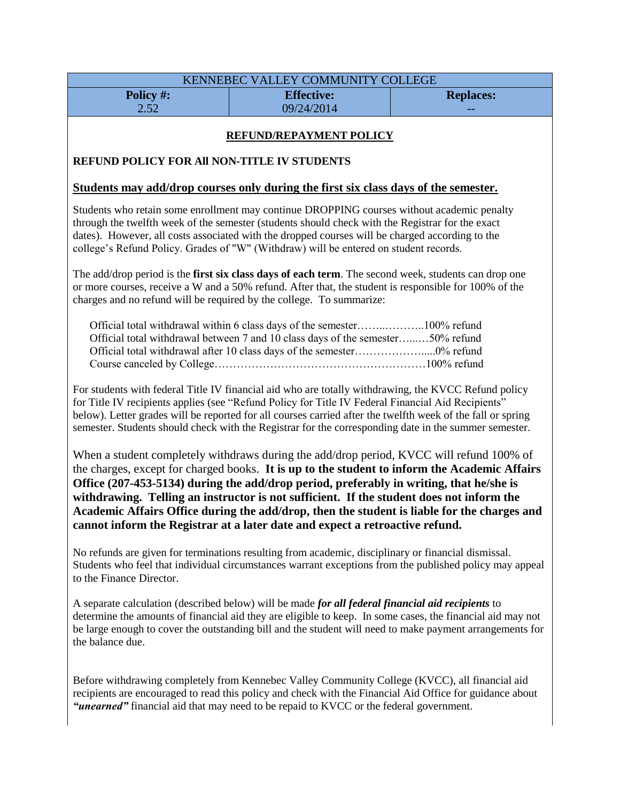|                                             | KENNEBEC VALLEY COMMUNITY COLLEGE                                                                                                                                                                                                                                                                                                                                                                                                                                                                                                                               |                  |  |
|---------------------------------------------|-----------------------------------------------------------------------------------------------------------------------------------------------------------------------------------------------------------------------------------------------------------------------------------------------------------------------------------------------------------------------------------------------------------------------------------------------------------------------------------------------------------------------------------------------------------------|------------------|--|
| Policy #:                                   | <b>Effective:</b>                                                                                                                                                                                                                                                                                                                                                                                                                                                                                                                                               | <b>Replaces:</b> |  |
| 2.52                                        | 09/24/2014                                                                                                                                                                                                                                                                                                                                                                                                                                                                                                                                                      |                  |  |
| REFUND/REPAYMENT POLICY                     |                                                                                                                                                                                                                                                                                                                                                                                                                                                                                                                                                                 |                  |  |
|                                             |                                                                                                                                                                                                                                                                                                                                                                                                                                                                                                                                                                 |                  |  |
| REFUND POLICY FOR All NON-TITLE IV STUDENTS |                                                                                                                                                                                                                                                                                                                                                                                                                                                                                                                                                                 |                  |  |
|                                             | <u>Students may add/drop courses only during the first six class days of the semester.</u>                                                                                                                                                                                                                                                                                                                                                                                                                                                                      |                  |  |
|                                             | Students who retain some enrollment may continue DROPPING courses without academic penalty<br>through the twelfth week of the semester (students should check with the Registrar for the exact<br>dates). However, all costs associated with the dropped courses will be charged according to the<br>college's Refund Policy. Grades of "W" (Withdraw) will be entered on student records.                                                                                                                                                                      |                  |  |
|                                             | The add/drop period is the first six class days of each term. The second week, students can drop one<br>or more courses, receive a W and a 50% refund. After that, the student is responsible for 100% of the<br>charges and no refund will be required by the college. To summarize:                                                                                                                                                                                                                                                                           |                  |  |
|                                             | Official total withdrawal between 7 and 10 class days of the semester50% refund                                                                                                                                                                                                                                                                                                                                                                                                                                                                                 |                  |  |
|                                             | For students with federal Title IV financial aid who are totally withdrawing, the KVCC Refund policy<br>for Title IV recipients applies (see "Refund Policy for Title IV Federal Financial Aid Recipients"<br>below). Letter grades will be reported for all courses carried after the twelfth week of the fall or spring<br>semester. Students should check with the Registrar for the corresponding date in the summer semester.                                                                                                                              |                  |  |
|                                             | When a student completely withdraws during the add/drop period, KVCC will refund 100% of<br>the charges, except for charged books. It is up to the student to inform the Academic Affairs<br>Office (207-453-5134) during the add/drop period, preferably in writing, that he/she is<br>withdrawing. Telling an instructor is not sufficient. If the student does not inform the<br>Academic Affairs Office during the add/drop, then the student is liable for the charges and<br>cannot inform the Registrar at a later date and expect a retroactive refund. |                  |  |
| to the Finance Director.                    | No refunds are given for terminations resulting from academic, disciplinary or financial dismissal.<br>Students who feel that individual circumstances warrant exceptions from the published policy may appeal                                                                                                                                                                                                                                                                                                                                                  |                  |  |
| the balance due.                            | A separate calculation (described below) will be made for all federal financial aid recipients to<br>determine the amounts of financial aid they are eligible to keep. In some cases, the financial aid may not<br>be large enough to cover the outstanding bill and the student will need to make payment arrangements for                                                                                                                                                                                                                                     |                  |  |
|                                             | Before withdrawing completely from Kennebec Valley Community College (KVCC), all financial aid<br>recipients are encouraged to read this policy and check with the Financial Aid Office for guidance about                                                                                                                                                                                                                                                                                                                                                      |                  |  |

*"unearned"* financial aid that may need to be repaid to KVCC or the federal government.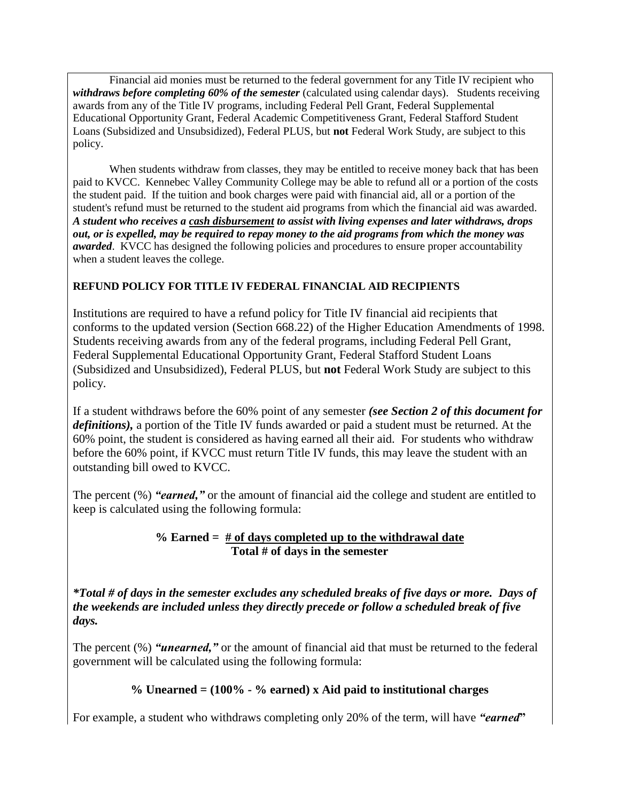Financial aid monies must be returned to the federal government for any Title IV recipient who *withdraws before completing 60% of the semester* (calculated using calendar days). Students receiving awards from any of the Title IV programs, including Federal Pell Grant, Federal Supplemental Educational Opportunity Grant, Federal Academic Competitiveness Grant, Federal Stafford Student Loans (Subsidized and Unsubsidized), Federal PLUS, but **not** Federal Work Study, are subject to this policy.

When students withdraw from classes, they may be entitled to receive money back that has been paid to KVCC. Kennebec Valley Community College may be able to refund all or a portion of the costs the student paid. If the tuition and book charges were paid with financial aid, all or a portion of the student's refund must be returned to the student aid programs from which the financial aid was awarded. *A student who receives a cash disbursement to assist with living expenses and later withdraws, drops out, or is expelled, may be required to repay money to the aid programs from which the money was awarded*. KVCC has designed the following policies and procedures to ensure proper accountability when a student leaves the college.

### **REFUND POLICY FOR TITLE IV FEDERAL FINANCIAL AID RECIPIENTS**

Institutions are required to have a refund policy for Title IV financial aid recipients that conforms to the updated version (Section 668.22) of the Higher Education Amendments of 1998. Students receiving awards from any of the federal programs, including Federal Pell Grant, Federal Supplemental Educational Opportunity Grant, Federal Stafford Student Loans (Subsidized and Unsubsidized), Federal PLUS, but **not** Federal Work Study are subject to this policy.

If a student withdraws before the 60% point of any semester *(see Section 2 of this document for definitions),* a portion of the Title IV funds awarded or paid a student must be returned. At the 60% point, the student is considered as having earned all their aid. For students who withdraw before the 60% point, if KVCC must return Title IV funds, this may leave the student with an outstanding bill owed to KVCC.

The percent (%) *"earned,"* or the amount of financial aid the college and student are entitled to keep is calculated using the following formula:

### **% Earned = # of days completed up to the withdrawal date Total # of days in the semester**

*\*Total # of days in the semester excludes any scheduled breaks of five days or more. Days of the weekends are included unless they directly precede or follow a scheduled break of five days.*

The percent (%) *"unearned,"* or the amount of financial aid that must be returned to the federal government will be calculated using the following formula:

### **% Unearned = (100% - % earned) x Aid paid to institutional charges**

For example, a student who withdraws completing only 20% of the term, will have *"earned***"**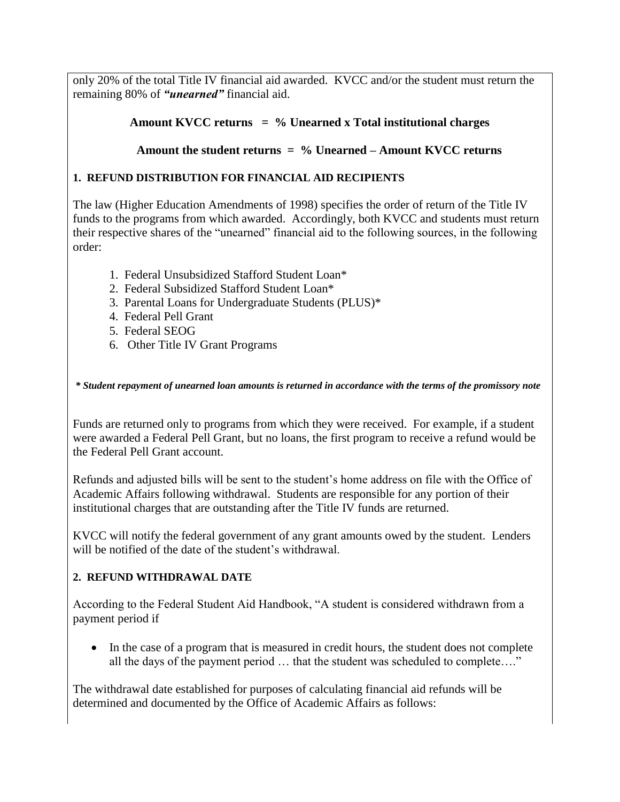only 20% of the total Title IV financial aid awarded. KVCC and/or the student must return the remaining 80% of *"unearned"* financial aid.

## **Amount KVCC returns = % Unearned x Total institutional charges**

## **Amount the student returns = % Unearned – Amount KVCC returns**

### **1. REFUND DISTRIBUTION FOR FINANCIAL AID RECIPIENTS**

The law (Higher Education Amendments of 1998) specifies the order of return of the Title IV funds to the programs from which awarded. Accordingly, both KVCC and students must return their respective shares of the "unearned" financial aid to the following sources, in the following order:

- 1. Federal Unsubsidized Stafford Student Loan\*
- 2. Federal Subsidized Stafford Student Loan\*
- 3. Parental Loans for Undergraduate Students (PLUS)\*
- 4. Federal Pell Grant
- 5. Federal SEOG
- 6. Other Title IV Grant Programs

*\* Student repayment of unearned loan amounts is returned in accordance with the terms of the promissory note*

Funds are returned only to programs from which they were received. For example, if a student were awarded a Federal Pell Grant, but no loans, the first program to receive a refund would be the Federal Pell Grant account.

Refunds and adjusted bills will be sent to the student's home address on file with the Office of Academic Affairs following withdrawal. Students are responsible for any portion of their institutional charges that are outstanding after the Title IV funds are returned.

KVCC will notify the federal government of any grant amounts owed by the student. Lenders will be notified of the date of the student's withdrawal.

#### **2. REFUND WITHDRAWAL DATE**

According to the Federal Student Aid Handbook, "A student is considered withdrawn from a payment period if

• In the case of a program that is measured in credit hours, the student does not complete all the days of the payment period … that the student was scheduled to complete…."

The withdrawal date established for purposes of calculating financial aid refunds will be determined and documented by the Office of Academic Affairs as follows: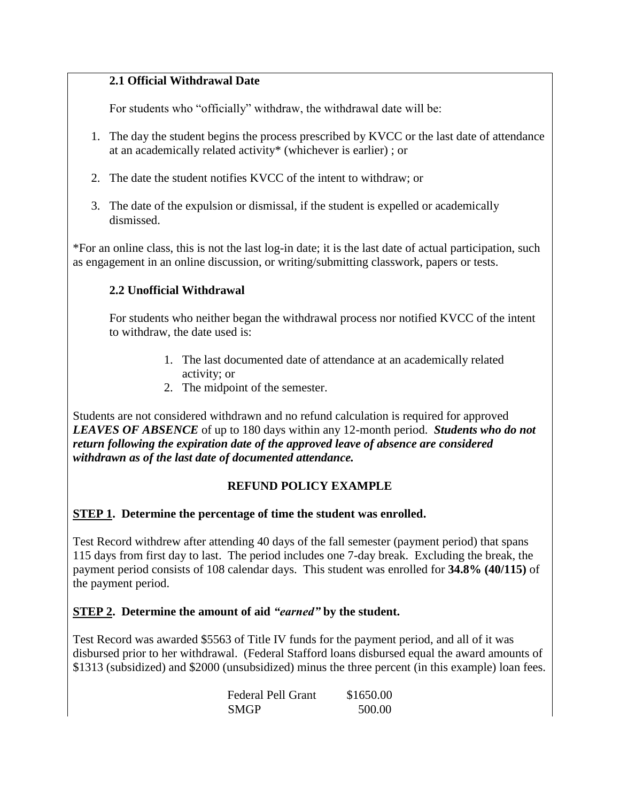## **2.1 Official Withdrawal Date**

For students who "officially" withdraw, the withdrawal date will be:

- 1. The day the student begins the process prescribed by KVCC or the last date of attendance at an academically related activity\* (whichever is earlier) ; or
- 2. The date the student notifies KVCC of the intent to withdraw; or
- 3. The date of the expulsion or dismissal, if the student is expelled or academically dismissed.

\*For an online class, this is not the last log-in date; it is the last date of actual participation, such as engagement in an online discussion, or writing/submitting classwork, papers or tests.

# **2.2 Unofficial Withdrawal**

For students who neither began the withdrawal process nor notified KVCC of the intent to withdraw, the date used is:

- 1. The last documented date of attendance at an academically related activity; or
- 2. The midpoint of the semester.

Students are not considered withdrawn and no refund calculation is required for approved *LEAVES OF ABSENCE* of up to 180 days within any 12-month period. *Students who do not return following the expiration date of the approved leave of absence are considered withdrawn as of the last date of documented attendance.*

# **REFUND POLICY EXAMPLE**

### **STEP 1. Determine the percentage of time the student was enrolled.**

Test Record withdrew after attending 40 days of the fall semester (payment period) that spans 115 days from first day to last. The period includes one 7-day break. Excluding the break, the payment period consists of 108 calendar days. This student was enrolled for **34.8% (40/115)** of the payment period.

# **STEP 2. Determine the amount of aid** *"earned"* **by the student.**

Test Record was awarded \$5563 of Title IV funds for the payment period, and all of it was disbursed prior to her withdrawal. (Federal Stafford loans disbursed equal the award amounts of \$1313 (subsidized) and \$2000 (unsubsidized) minus the three percent (in this example) loan fees.

| Federal Pell Grant | \$1650.00 |
|--------------------|-----------|
| <b>SMGP</b>        | 500.00    |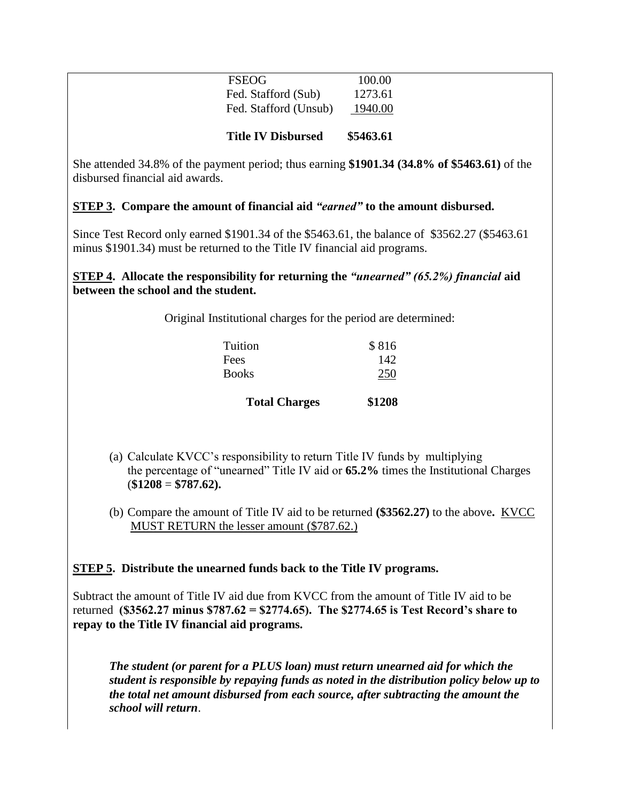| <b>Title IV Disbursed</b>                    |                    |
|----------------------------------------------|--------------------|
| Fed. Stafford (Sub)<br>Fed. Stafford (Unsub) | 1273.61<br>1940.00 |
| FSEOG                                        | 100.00             |

She attended 34.8% of the payment period; thus earning **\$1901.34 (34.8% of \$5463.61)** of the disbursed financial aid awards.

### **STEP 3. Compare the amount of financial aid** *"earned"* **to the amount disbursed.**

Since Test Record only earned \$1901.34 of the \$5463.61, the balance of \$3562.27 (\$5463.61 minus \$1901.34) must be returned to the Title IV financial aid programs.

#### **STEP 4. Allocate the responsibility for returning the** *"unearned" (65.2%) financial* **aid between the school and the student.**

Original Institutional charges for the period are determined:

| <b>Total Charges</b> | \$1208 |
|----------------------|--------|
| <b>Books</b>         | 250    |
| Fees                 | 142    |
| Tuition              | \$816  |

- (a) Calculate KVCC's responsibility to return Title IV funds by multiplying the percentage of "unearned" Title IV aid or **65.2%** times the Institutional Charges (**\$1208** = **\$787.62).**
- (b) Compare the amount of Title IV aid to be returned **(\$3562.27)** to the above**.** KVCC MUST RETURN the lesser amount (\$787.62.)

#### **STEP 5. Distribute the unearned funds back to the Title IV programs.**

Subtract the amount of Title IV aid due from KVCC from the amount of Title IV aid to be returned **(\$3562.27 minus \$787.62 = \$2774.65). The \$2774.65 is Test Record's share to repay to the Title IV financial aid programs.** 

*The student (or parent for a PLUS loan) must return unearned aid for which the student is responsible by repaying funds as noted in the distribution policy below up to the total net amount disbursed from each source, after subtracting the amount the school will return*.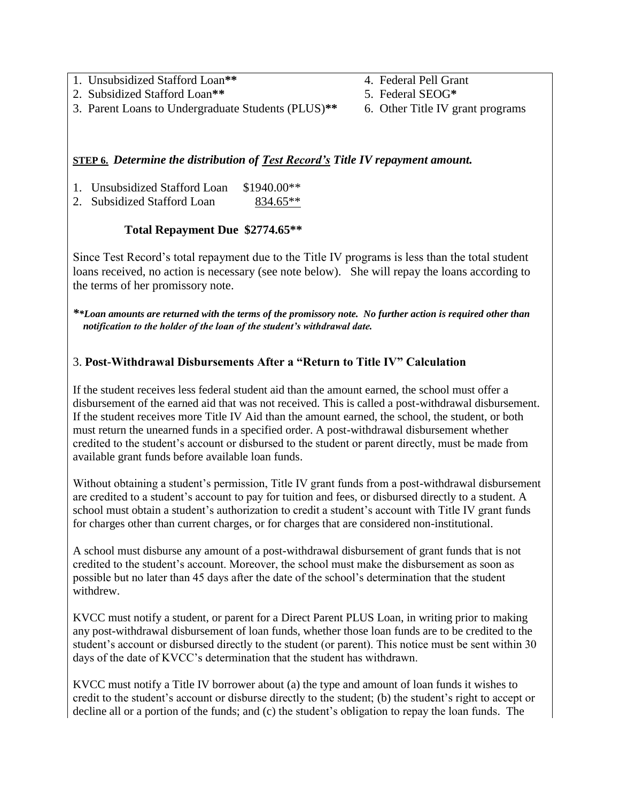1. Unsubsidized Stafford Loan**\*\*** 4. Federal Pell Grant

- 2. Subsidized Stafford Loan**\*\*** 5. Federal SEOG**\***
- 3. Parent Loans to Undergraduate Students (PLUS)**\*\*** 6. Other Title IV grant programs
- 
- -

### **STEP 6.** *Determine the distribution of Test Record's Title IV repayment amount.*

- 1. Unsubsidized Stafford Loan \$1940.00\*\*
- 2. Subsidized Stafford Loan 834.65<sup>\*\*</sup>

### **Total Repayment Due \$2774.65\*\***

Since Test Record's total repayment due to the Title IV programs is less than the total student loans received, no action is necessary (see note below). She will repay the loans according to the terms of her promissory note.

*\*\*Loan amounts are returned with the terms of the promissory note. No further action is required other than notification to the holder of the loan of the student's withdrawal date.*

## 3. **Post-Withdrawal Disbursements After a "Return to Title IV" Calculation**

If the student receives less federal student aid than the amount earned, the school must offer a disbursement of the earned aid that was not received. This is called a post-withdrawal disbursement. If the student receives more Title IV Aid than the amount earned, the school, the student, or both must return the unearned funds in a specified order. A post-withdrawal disbursement whether credited to the student's account or disbursed to the student or parent directly, must be made from available grant funds before available loan funds.

Without obtaining a student's permission, Title IV grant funds from a post-withdrawal disbursement are credited to a student's account to pay for tuition and fees, or disbursed directly to a student. A school must obtain a student's authorization to credit a student's account with Title IV grant funds for charges other than current charges, or for charges that are considered non-institutional.

A school must disburse any amount of a post-withdrawal disbursement of grant funds that is not credited to the student's account. Moreover, the school must make the disbursement as soon as possible but no later than 45 days after the date of the school's determination that the student withdrew.

KVCC must notify a student, or parent for a Direct Parent PLUS Loan, in writing prior to making any post-withdrawal disbursement of loan funds, whether those loan funds are to be credited to the student's account or disbursed directly to the student (or parent). This notice must be sent within 30 days of the date of KVCC's determination that the student has withdrawn.

KVCC must notify a Title IV borrower about (a) the type and amount of loan funds it wishes to credit to the student's account or disburse directly to the student; (b) the student's right to accept or decline all or a portion of the funds; and (c) the student's obligation to repay the loan funds. The